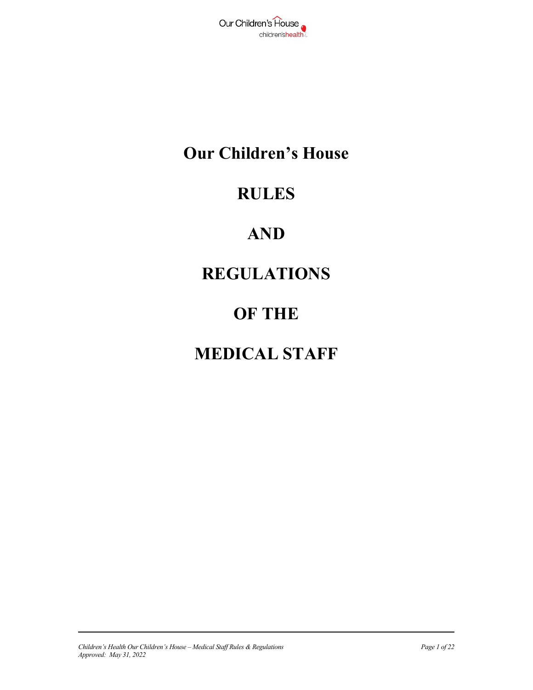

## **Our Children's House**

## **RULES**

## **AND**

## **REGULATIONS**

# **OF THE**

## **MEDICAL STAFF**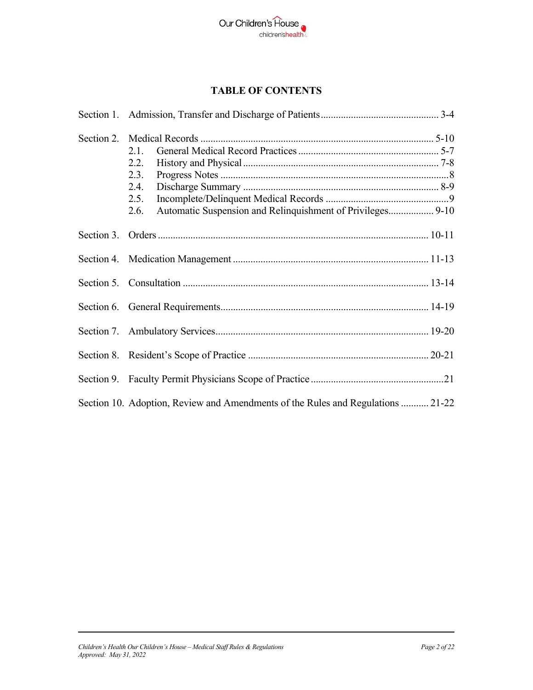

## **TABLE OF CONTENTS**

| 2.1.<br>2.2.<br>2.3.<br>2.4.<br>2.5.<br>2.6.                                    |  |
|---------------------------------------------------------------------------------|--|
|                                                                                 |  |
|                                                                                 |  |
|                                                                                 |  |
|                                                                                 |  |
|                                                                                 |  |
|                                                                                 |  |
|                                                                                 |  |
| Section 10. Adoption, Review and Amendments of the Rules and Regulations  21-22 |  |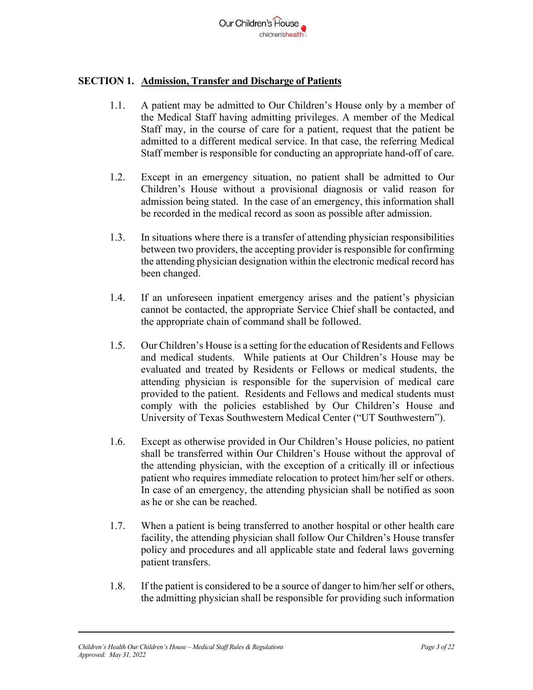

#### **SECTION 1. Admission, Transfer and Discharge of Patients**

- 1.1. A patient may be admitted to Our Children's House only by a member of the Medical Staff having admitting privileges. A member of the Medical Staff may, in the course of care for a patient, request that the patient be admitted to a different medical service. In that case, the referring Medical Staff member is responsible for conducting an appropriate hand-off of care.
- 1.2. Except in an emergency situation, no patient shall be admitted to Our Children's House without a provisional diagnosis or valid reason for admission being stated. In the case of an emergency, this information shall be recorded in the medical record as soon as possible after admission.
- 1.3. In situations where there is a transfer of attending physician responsibilities between two providers, the accepting provider is responsible for confirming the attending physician designation within the electronic medical record has been changed.
- 1.4. If an unforeseen inpatient emergency arises and the patient's physician cannot be contacted, the appropriate Service Chief shall be contacted, and the appropriate chain of command shall be followed.
- 1.5. Our Children's House is a setting for the education of Residents and Fellows and medical students. While patients at Our Children's House may be evaluated and treated by Residents or Fellows or medical students, the attending physician is responsible for the supervision of medical care provided to the patient. Residents and Fellows and medical students must comply with the policies established by Our Children's House and University of Texas Southwestern Medical Center ("UT Southwestern").
- 1.6. Except as otherwise provided in Our Children's House policies, no patient shall be transferred within Our Children's House without the approval of the attending physician, with the exception of a critically ill or infectious patient who requires immediate relocation to protect him/her self or others. In case of an emergency, the attending physician shall be notified as soon as he or she can be reached.
- 1.7. When a patient is being transferred to another hospital or other health care facility, the attending physician shall follow Our Children's House transfer policy and procedures and all applicable state and federal laws governing patient transfers.
- 1.8. If the patient is considered to be a source of danger to him/her self or others, the admitting physician shall be responsible for providing such information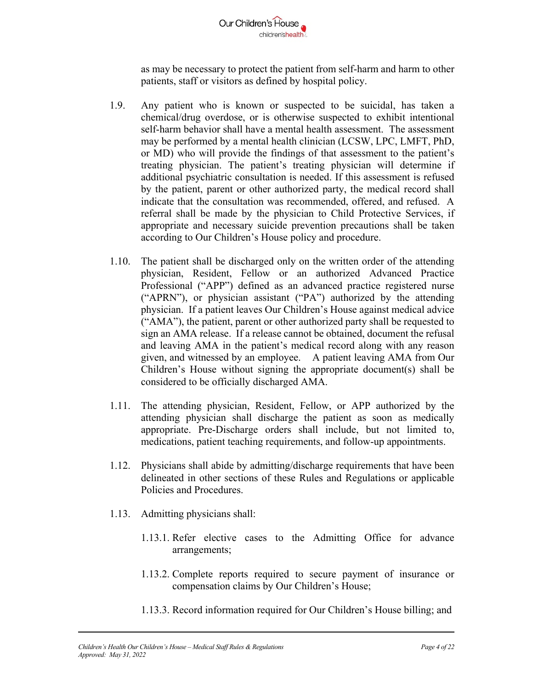

as may be necessary to protect the patient from self-harm and harm to other patients, staff or visitors as defined by hospital policy.

- 1.9. Any patient who is known or suspected to be suicidal, has taken a chemical/drug overdose, or is otherwise suspected to exhibit intentional self-harm behavior shall have a mental health assessment. The assessment may be performed by a mental health clinician (LCSW, LPC, LMFT, PhD, or MD) who will provide the findings of that assessment to the patient's treating physician. The patient's treating physician will determine if additional psychiatric consultation is needed. If this assessment is refused by the patient, parent or other authorized party, the medical record shall indicate that the consultation was recommended, offered, and refused. A referral shall be made by the physician to Child Protective Services, if appropriate and necessary suicide prevention precautions shall be taken according to Our Children's House policy and procedure.
- 1.10. The patient shall be discharged only on the written order of the attending physician, Resident, Fellow or an authorized Advanced Practice Professional ("APP") defined as an advanced practice registered nurse ("APRN"), or physician assistant ("PA") authorized by the attending physician. If a patient leaves Our Children's House against medical advice ("AMA"), the patient, parent or other authorized party shall be requested to sign an AMA release. If a release cannot be obtained, document the refusal and leaving AMA in the patient's medical record along with any reason given, and witnessed by an employee. A patient leaving AMA from Our Children's House without signing the appropriate document(s) shall be considered to be officially discharged AMA.
- 1.11. The attending physician, Resident, Fellow, or APP authorized by the attending physician shall discharge the patient as soon as medically appropriate. Pre-Discharge orders shall include, but not limited to, medications, patient teaching requirements, and follow-up appointments.
- 1.12. Physicians shall abide by admitting/discharge requirements that have been delineated in other sections of these Rules and Regulations or applicable Policies and Procedures.
- 1.13. Admitting physicians shall:
	- 1.13.1. Refer elective cases to the Admitting Office for advance arrangements;
	- 1.13.2. Complete reports required to secure payment of insurance or compensation claims by Our Children's House;
	- 1.13.3. Record information required for Our Children's House billing; and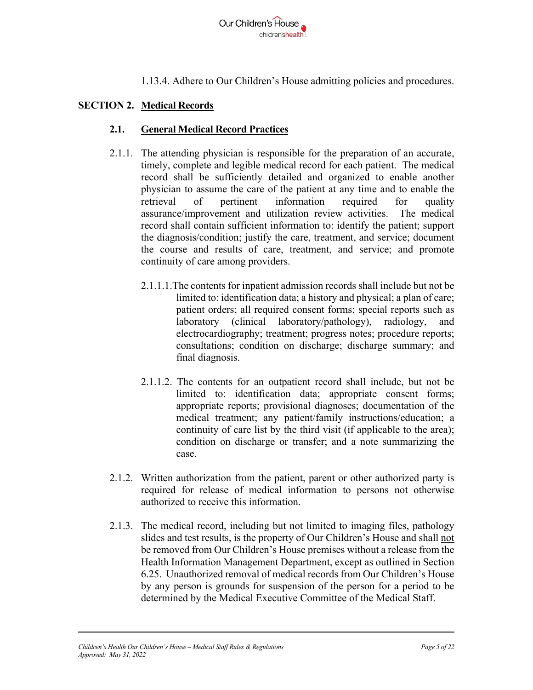

1.13.4. Adhere to Our Children's House admitting policies and procedures.

## **SECTION 2. Medical Records**

#### **2.1. General Medical Record Practices**

- 2.1.1. The attending physician is responsible for the preparation of an accurate, timely, complete and legible medical record for each patient. The medical record shall be sufficiently detailed and organized to enable another physician to assume the care of the patient at any time and to enable the retrieval of pertinent information required for quality assurance/improvement and utilization review activities. The medical record shall contain sufficient information to: identify the patient; support the diagnosis/condition; justify the care, treatment, and service; document the course and results of care, treatment, and service; and promote continuity of care among providers.
	- 2.1.1.1.The contents for inpatient admission records shall include but not be limited to: identification data; a history and physical; a plan of care; patient orders; all required consent forms; special reports such as laboratory (clinical laboratory/pathology), radiology, and electrocardiography; treatment; progress notes; procedure reports; consultations; condition on discharge; discharge summary; and final diagnosis.
	- 2.1.1.2. The contents for an outpatient record shall include, but not be limited to: identification data; appropriate consent forms; appropriate reports; provisional diagnoses; documentation of the medical treatment; any patient/family instructions/education; a continuity of care list by the third visit (if applicable to the area); condition on discharge or transfer; and a note summarizing the case.
- 2.1.2. Written authorization from the patient, parent or other authorized party is required for release of medical information to persons not otherwise authorized to receive this information.
- 2.1.3. The medical record, including but not limited to imaging files, pathology slides and test results, is the property of Our Children's House and shall not be removed from Our Children's House premises without a release from the Health Information Management Department, except as outlined in Section 6.25. Unauthorized removal of medical records from Our Children's House by any person is grounds for suspension of the person for a period to be determined by the Medical Executive Committee of the Medical Staff.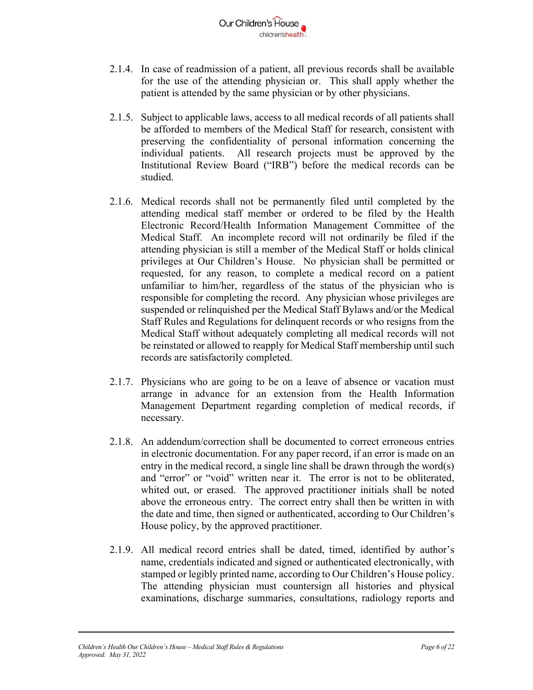

- 2.1.4. In case of readmission of a patient, all previous records shall be available for the use of the attending physician or. This shall apply whether the patient is attended by the same physician or by other physicians.
- 2.1.5. Subject to applicable laws, access to all medical records of all patients shall be afforded to members of the Medical Staff for research, consistent with preserving the confidentiality of personal information concerning the individual patients. All research projects must be approved by the Institutional Review Board ("IRB") before the medical records can be studied.
- 2.1.6. Medical records shall not be permanently filed until completed by the attending medical staff member or ordered to be filed by the Health Electronic Record/Health Information Management Committee of the Medical Staff. An incomplete record will not ordinarily be filed if the attending physician is still a member of the Medical Staff or holds clinical privileges at Our Children's House. No physician shall be permitted or requested, for any reason, to complete a medical record on a patient unfamiliar to him/her, regardless of the status of the physician who is responsible for completing the record. Any physician whose privileges are suspended or relinquished per the Medical Staff Bylaws and/or the Medical Staff Rules and Regulations for delinquent records or who resigns from the Medical Staff without adequately completing all medical records will not be reinstated or allowed to reapply for Medical Staff membership until such records are satisfactorily completed.
- 2.1.7. Physicians who are going to be on a leave of absence or vacation must arrange in advance for an extension from the Health Information Management Department regarding completion of medical records, if necessary.
- 2.1.8. An addendum/correction shall be documented to correct erroneous entries in electronic documentation. For any paper record, if an error is made on an entry in the medical record, a single line shall be drawn through the word(s) and "error" or "void" written near it. The error is not to be obliterated, whited out, or erased. The approved practitioner initials shall be noted above the erroneous entry. The correct entry shall then be written in with the date and time, then signed or authenticated, according to Our Children's House policy, by the approved practitioner.
- 2.1.9. All medical record entries shall be dated, timed, identified by author's name, credentials indicated and signed or authenticated electronically, with stamped or legibly printed name, according to Our Children's House policy. The attending physician must countersign all histories and physical examinations, discharge summaries, consultations, radiology reports and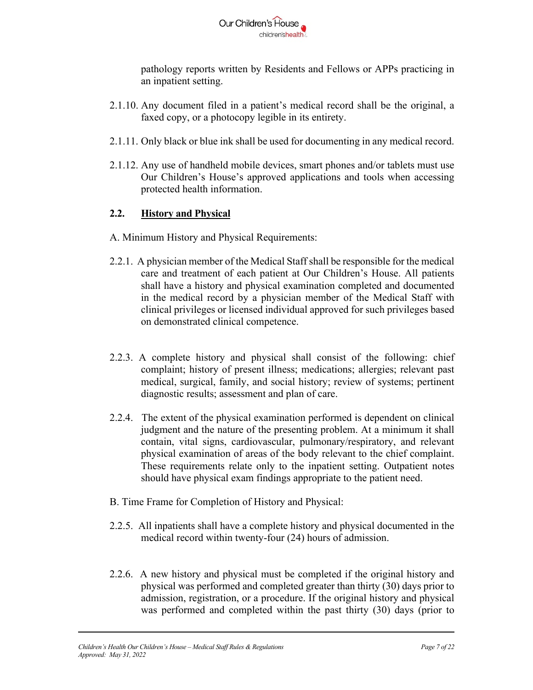

pathology reports written by Residents and Fellows or APPs practicing in an inpatient setting.

- 2.1.10. Any document filed in a patient's medical record shall be the original, a faxed copy, or a photocopy legible in its entirety.
- 2.1.11. Only black or blue ink shall be used for documenting in any medical record.
- 2.1.12. Any use of handheld mobile devices, smart phones and/or tablets must use Our Children's House's approved applications and tools when accessing protected health information.

## **2.2. History and Physical**

- A. Minimum History and Physical Requirements:
- 2.2.1. A physician member of the Medical Staff shall be responsible for the medical care and treatment of each patient at Our Children's House. All patients shall have a history and physical examination completed and documented in the medical record by a physician member of the Medical Staff with clinical privileges or licensed individual approved for such privileges based on demonstrated clinical competence.
- 2.2.3. A complete history and physical shall consist of the following: chief complaint; history of present illness; medications; allergies; relevant past medical, surgical, family, and social history; review of systems; pertinent diagnostic results; assessment and plan of care.
- 2.2.4. The extent of the physical examination performed is dependent on clinical judgment and the nature of the presenting problem. At a minimum it shall contain, vital signs, cardiovascular, pulmonary/respiratory, and relevant physical examination of areas of the body relevant to the chief complaint. These requirements relate only to the inpatient setting. Outpatient notes should have physical exam findings appropriate to the patient need.
- B. Time Frame for Completion of History and Physical:
- 2.2.5. All inpatients shall have a complete history and physical documented in the medical record within twenty-four (24) hours of admission.
- 2.2.6. A new history and physical must be completed if the original history and physical was performed and completed greater than thirty (30) days prior to admission, registration, or a procedure. If the original history and physical was performed and completed within the past thirty (30) days (prior to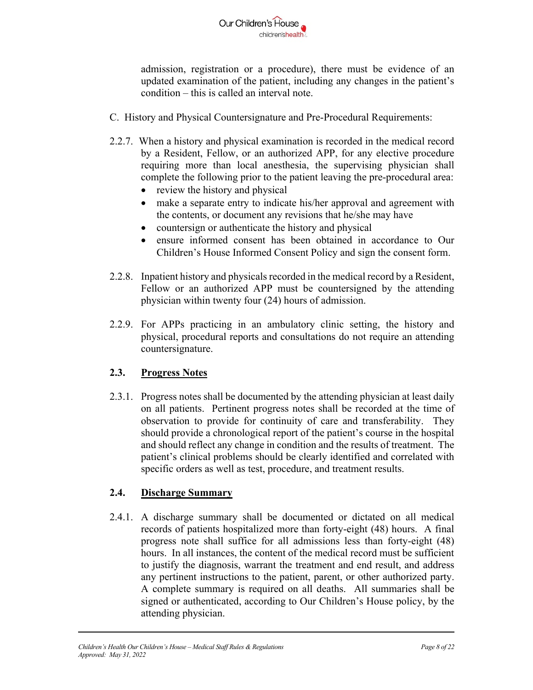

admission, registration or a procedure), there must be evidence of an updated examination of the patient, including any changes in the patient's condition – this is called an interval note.

- C. History and Physical Countersignature and Pre-Procedural Requirements:
- 2.2.7. When a history and physical examination is recorded in the medical record by a Resident, Fellow, or an authorized APP, for any elective procedure requiring more than local anesthesia, the supervising physician shall complete the following prior to the patient leaving the pre-procedural area:
	- review the history and physical
	- make a separate entry to indicate his/her approval and agreement with the contents, or document any revisions that he/she may have
	- countersign or authenticate the history and physical
	- ensure informed consent has been obtained in accordance to Our Children's House Informed Consent Policy and sign the consent form.
- 2.2.8. Inpatient history and physicals recorded in the medical record by a Resident, Fellow or an authorized APP must be countersigned by the attending physician within twenty four (24) hours of admission.
- 2.2.9. For APPs practicing in an ambulatory clinic setting, the history and physical, procedural reports and consultations do not require an attending countersignature.

### **2.3. Progress Notes**

2.3.1. Progress notes shall be documented by the attending physician at least daily on all patients. Pertinent progress notes shall be recorded at the time of observation to provide for continuity of care and transferability. They should provide a chronological report of the patient's course in the hospital and should reflect any change in condition and the results of treatment. The patient's clinical problems should be clearly identified and correlated with specific orders as well as test, procedure, and treatment results.

### **2.4. Discharge Summary**

2.4.1. A discharge summary shall be documented or dictated on all medical records of patients hospitalized more than forty-eight (48) hours. A final progress note shall suffice for all admissions less than forty-eight (48) hours. In all instances, the content of the medical record must be sufficient to justify the diagnosis, warrant the treatment and end result, and address any pertinent instructions to the patient, parent, or other authorized party. A complete summary is required on all deaths. All summaries shall be signed or authenticated, according to Our Children's House policy, by the attending physician.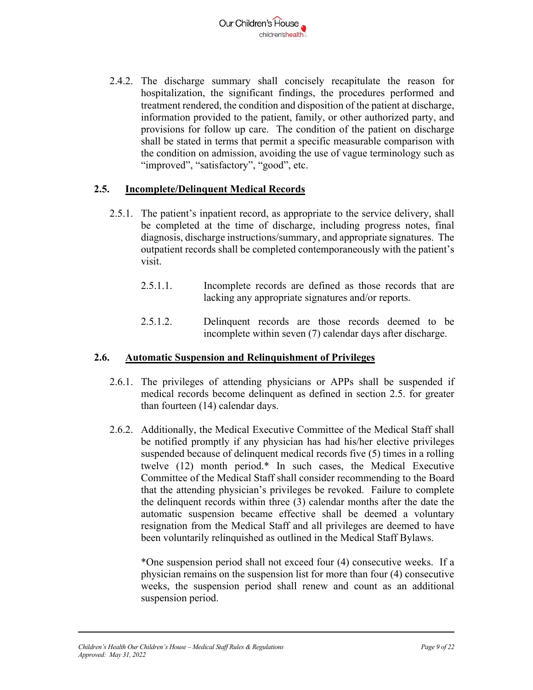

2.4.2. The discharge summary shall concisely recapitulate the reason for hospitalization, the significant findings, the procedures performed and treatment rendered, the condition and disposition of the patient at discharge, information provided to the patient, family, or other authorized party, and provisions for follow up care. The condition of the patient on discharge shall be stated in terms that permit a specific measurable comparison with the condition on admission, avoiding the use of vague terminology such as "improved", "satisfactory", "good", etc.

#### **2.5. Incomplete/Delinquent Medical Records**

- 2.5.1. The patient's inpatient record, as appropriate to the service delivery, shall be completed at the time of discharge, including progress notes, final diagnosis, discharge instructions/summary, and appropriate signatures. The outpatient records shall be completed contemporaneously with the patient's visit.
	- 2.5.1.1. Incomplete records are defined as those records that are lacking any appropriate signatures and/or reports.
	- 2.5.1.2. Delinquent records are those records deemed to be incomplete within seven (7) calendar days after discharge.

#### **2.6. Automatic Suspension and Relinquishment of Privileges**

- 2.6.1. The privileges of attending physicians or APPs shall be suspended if medical records become delinquent as defined in section 2.5. for greater than fourteen (14) calendar days.
- 2.6.2. Additionally, the Medical Executive Committee of the Medical Staff shall be notified promptly if any physician has had his/her elective privileges suspended because of delinquent medical records five (5) times in a rolling twelve (12) month period.\* In such cases, the Medical Executive Committee of the Medical Staff shall consider recommending to the Board that the attending physician's privileges be revoked. Failure to complete the delinquent records within three (3) calendar months after the date the automatic suspension became effective shall be deemed a voluntary resignation from the Medical Staff and all privileges are deemed to have been voluntarily relinquished as outlined in the Medical Staff Bylaws.

\*One suspension period shall not exceed four (4) consecutive weeks. If a physician remains on the suspension list for more than four (4) consecutive weeks, the suspension period shall renew and count as an additional suspension period.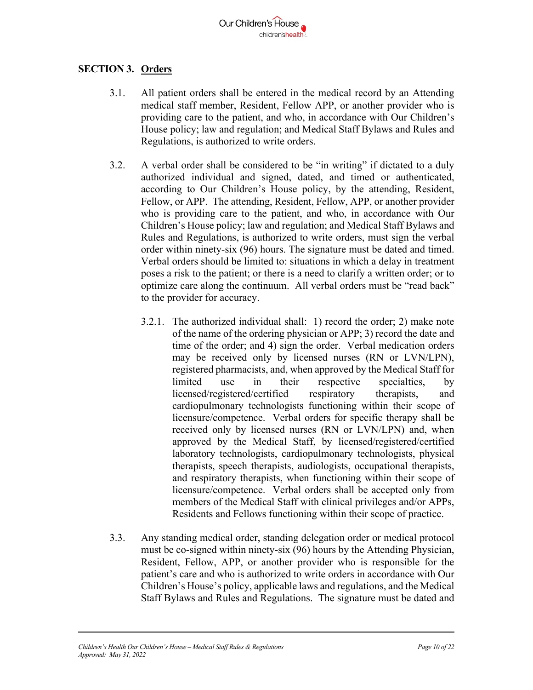

## **SECTION 3. Orders**

- 3.1. All patient orders shall be entered in the medical record by an Attending medical staff member, Resident, Fellow APP, or another provider who is providing care to the patient, and who, in accordance with Our Children's House policy; law and regulation; and Medical Staff Bylaws and Rules and Regulations, is authorized to write orders.
- 3.2. A verbal order shall be considered to be "in writing" if dictated to a duly authorized individual and signed, dated, and timed or authenticated, according to Our Children's House policy, by the attending, Resident, Fellow, or APP. The attending, Resident, Fellow, APP, or another provider who is providing care to the patient, and who, in accordance with Our Children's House policy; law and regulation; and Medical Staff Bylaws and Rules and Regulations, is authorized to write orders, must sign the verbal order within ninety-six (96) hours. The signature must be dated and timed. Verbal orders should be limited to: situations in which a delay in treatment poses a risk to the patient; or there is a need to clarify a written order; or to optimize care along the continuum. All verbal orders must be "read back" to the provider for accuracy.
	- 3.2.1. The authorized individual shall: 1) record the order; 2) make note of the name of the ordering physician or APP; 3) record the date and time of the order; and 4) sign the order. Verbal medication orders may be received only by licensed nurses (RN or LVN/LPN), registered pharmacists, and, when approved by the Medical Staff for limited use in their respective specialties, by licensed/registered/certified respiratory therapists, and cardiopulmonary technologists functioning within their scope of licensure/competence. Verbal orders for specific therapy shall be received only by licensed nurses (RN or LVN/LPN) and, when approved by the Medical Staff, by licensed/registered/certified laboratory technologists, cardiopulmonary technologists, physical therapists, speech therapists, audiologists, occupational therapists, and respiratory therapists, when functioning within their scope of licensure/competence. Verbal orders shall be accepted only from members of the Medical Staff with clinical privileges and/or APPs, Residents and Fellows functioning within their scope of practice.
- 3.3. Any standing medical order, standing delegation order or medical protocol must be co-signed within ninety-six (96) hours by the Attending Physician, Resident, Fellow, APP, or another provider who is responsible for the patient's care and who is authorized to write orders in accordance with Our Children's House's policy, applicable laws and regulations, and the Medical Staff Bylaws and Rules and Regulations. The signature must be dated and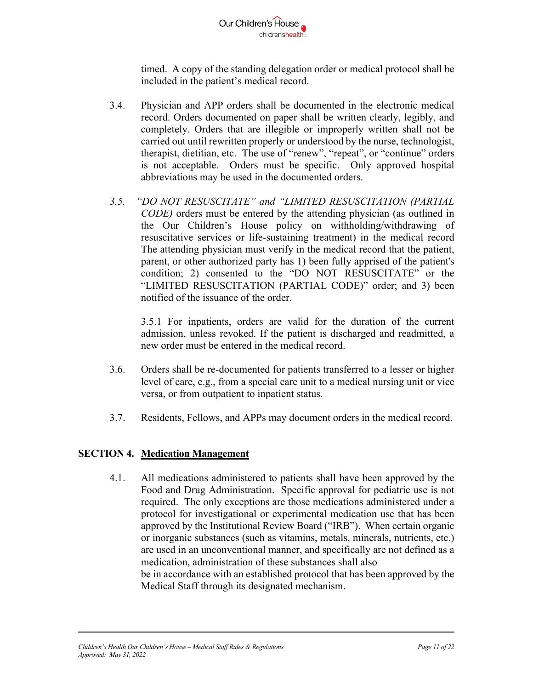

timed. A copy of the standing delegation order or medical protocol shall be included in the patient's medical record.

- 3.4. Physician and APP orders shall be documented in the electronic medical record. Orders documented on paper shall be written clearly, legibly, and completely. Orders that are illegible or improperly written shall not be carried out until rewritten properly or understood by the nurse, technologist, therapist, dietitian, etc. The use of "renew", "repeat", or "continue" orders is not acceptable. Orders must be specific. Only approved hospital abbreviations may be used in the documented orders.
- *3.5. "DO NOT RESUSCITATE" and "LIMITED RESUSCITATION (PARTIAL CODE)* orders must be entered by the attending physician (as outlined in the Our Children's House policy on withholding/withdrawing of resuscitative services or life-sustaining treatment) in the medical record The attending physician must verify in the medical record that the patient, parent, or other authorized party has 1) been fully apprised of the patient's condition; 2) consented to the "DO NOT RESUSCITATE" or the "LIMITED RESUSCITATION (PARTIAL CODE)" order; and 3) been notified of the issuance of the order.

3.5.1 For inpatients, orders are valid for the duration of the current admission, unless revoked. If the patient is discharged and readmitted, a new order must be entered in the medical record.

- 3.6. Orders shall be re-documented for patients transferred to a lesser or higher level of care, e.g., from a special care unit to a medical nursing unit or vice versa, or from outpatient to inpatient status.
- 3.7. Residents, Fellows, and APPs may document orders in the medical record.

#### **SECTION 4. Medication Management**

4.1. All medications administered to patients shall have been approved by the Food and Drug Administration. Specific approval for pediatric use is not required. The only exceptions are those medications administered under a protocol for investigational or experimental medication use that has been approved by the Institutional Review Board ("IRB"). When certain organic or inorganic substances (such as vitamins, metals, minerals, nutrients, etc.) are used in an unconventional manner, and specifically are not defined as a medication, administration of these substances shall also be in accordance with an established protocol that has been approved by the Medical Staff through its designated mechanism.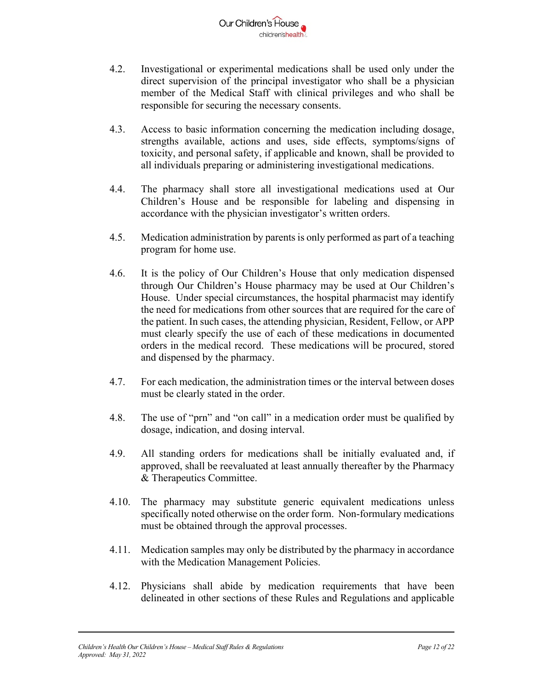

- 4.2. Investigational or experimental medications shall be used only under the direct supervision of the principal investigator who shall be a physician member of the Medical Staff with clinical privileges and who shall be responsible for securing the necessary consents.
- 4.3. Access to basic information concerning the medication including dosage, strengths available, actions and uses, side effects, symptoms/signs of toxicity, and personal safety, if applicable and known, shall be provided to all individuals preparing or administering investigational medications.
- 4.4. The pharmacy shall store all investigational medications used at Our Children's House and be responsible for labeling and dispensing in accordance with the physician investigator's written orders.
- 4.5. Medication administration by parents is only performed as part of a teaching program for home use.
- 4.6. It is the policy of Our Children's House that only medication dispensed through Our Children's House pharmacy may be used at Our Children's House. Under special circumstances, the hospital pharmacist may identify the need for medications from other sources that are required for the care of the patient. In such cases, the attending physician, Resident, Fellow, or APP must clearly specify the use of each of these medications in documented orders in the medical record. These medications will be procured, stored and dispensed by the pharmacy.
- 4.7. For each medication, the administration times or the interval between doses must be clearly stated in the order.
- 4.8. The use of "prn" and "on call" in a medication order must be qualified by dosage, indication, and dosing interval.
- 4.9. All standing orders for medications shall be initially evaluated and, if approved, shall be reevaluated at least annually thereafter by the Pharmacy & Therapeutics Committee.
- 4.10. The pharmacy may substitute generic equivalent medications unless specifically noted otherwise on the order form. Non-formulary medications must be obtained through the approval processes.
- 4.11. Medication samples may only be distributed by the pharmacy in accordance with the Medication Management Policies.
- 4.12. Physicians shall abide by medication requirements that have been delineated in other sections of these Rules and Regulations and applicable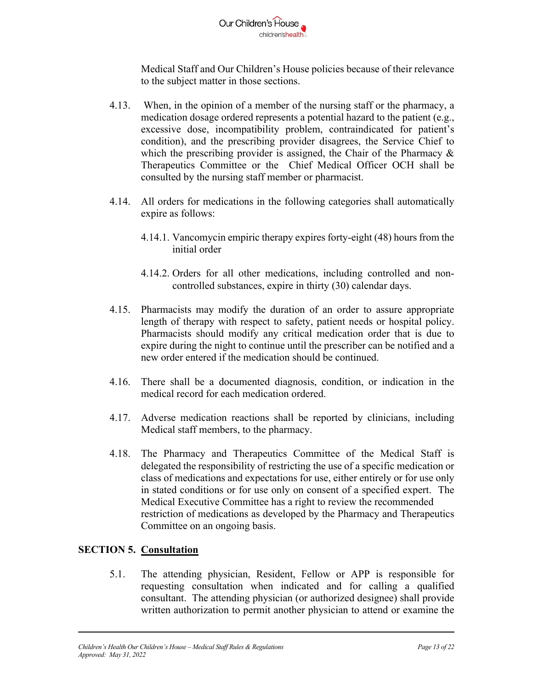

Medical Staff and Our Children's House policies because of their relevance to the subject matter in those sections.

- 4.13. When, in the opinion of a member of the nursing staff or the pharmacy, a medication dosage ordered represents a potential hazard to the patient (e.g., excessive dose, incompatibility problem, contraindicated for patient's condition), and the prescribing provider disagrees, the Service Chief to which the prescribing provider is assigned, the Chair of the Pharmacy  $\&$ Therapeutics Committee or the Chief Medical Officer OCH shall be consulted by the nursing staff member or pharmacist.
- 4.14. All orders for medications in the following categories shall automatically expire as follows:
	- 4.14.1. Vancomycin empiric therapy expires forty-eight (48) hours from the initial order
	- 4.14.2. Orders for all other medications, including controlled and noncontrolled substances, expire in thirty (30) calendar days.
- 4.15. Pharmacists may modify the duration of an order to assure appropriate length of therapy with respect to safety, patient needs or hospital policy. Pharmacists should modify any critical medication order that is due to expire during the night to continue until the prescriber can be notified and a new order entered if the medication should be continued.
- 4.16. There shall be a documented diagnosis, condition, or indication in the medical record for each medication ordered.
- 4.17. Adverse medication reactions shall be reported by clinicians, including Medical staff members, to the pharmacy.
- 4.18. The Pharmacy and Therapeutics Committee of the Medical Staff is delegated the responsibility of restricting the use of a specific medication or class of medications and expectations for use, either entirely or for use only in stated conditions or for use only on consent of a specified expert. The Medical Executive Committee has a right to review the recommended restriction of medications as developed by the Pharmacy and Therapeutics Committee on an ongoing basis.

### **SECTION 5. Consultation**

5.1. The attending physician, Resident, Fellow or APP is responsible for requesting consultation when indicated and for calling a qualified consultant. The attending physician (or authorized designee) shall provide written authorization to permit another physician to attend or examine the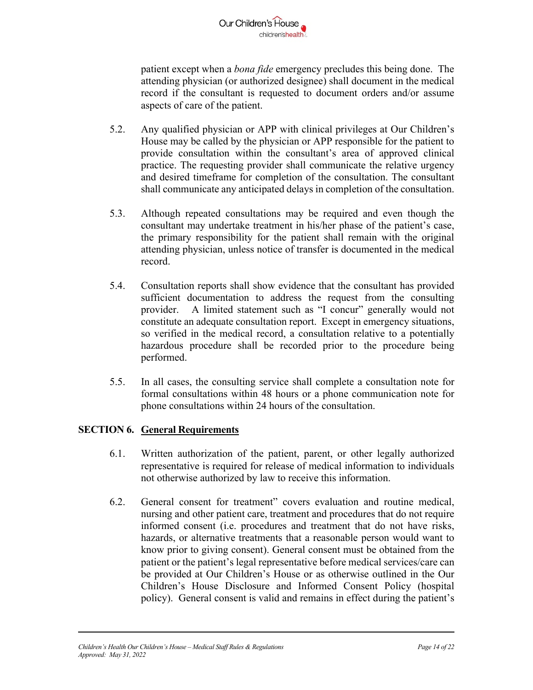

patient except when a *bona fide* emergency precludes this being done. The attending physician (or authorized designee) shall document in the medical record if the consultant is requested to document orders and/or assume aspects of care of the patient.

- 5.2. Any qualified physician or APP with clinical privileges at Our Children's House may be called by the physician or APP responsible for the patient to provide consultation within the consultant's area of approved clinical practice. The requesting provider shall communicate the relative urgency and desired timeframe for completion of the consultation. The consultant shall communicate any anticipated delays in completion of the consultation.
- 5.3. Although repeated consultations may be required and even though the consultant may undertake treatment in his/her phase of the patient's case, the primary responsibility for the patient shall remain with the original attending physician, unless notice of transfer is documented in the medical record.
- 5.4. Consultation reports shall show evidence that the consultant has provided sufficient documentation to address the request from the consulting provider. A limited statement such as "I concur" generally would not constitute an adequate consultation report. Except in emergency situations, so verified in the medical record, a consultation relative to a potentially hazardous procedure shall be recorded prior to the procedure being performed.
- 5.5. In all cases, the consulting service shall complete a consultation note for formal consultations within 48 hours or a phone communication note for phone consultations within 24 hours of the consultation.

### **SECTION 6. General Requirements**

- 6.1. Written authorization of the patient, parent, or other legally authorized representative is required for release of medical information to individuals not otherwise authorized by law to receive this information.
- 6.2. General consent for treatment" covers evaluation and routine medical, nursing and other patient care, treatment and procedures that do not require informed consent (i.e. procedures and treatment that do not have risks, hazards, or alternative treatments that a reasonable person would want to know prior to giving consent). General consent must be obtained from the patient or the patient's legal representative before medical services/care can be provided at Our Children's House or as otherwise outlined in the Our Children's House Disclosure and Informed Consent Policy (hospital policy). General consent is valid and remains in effect during the patient's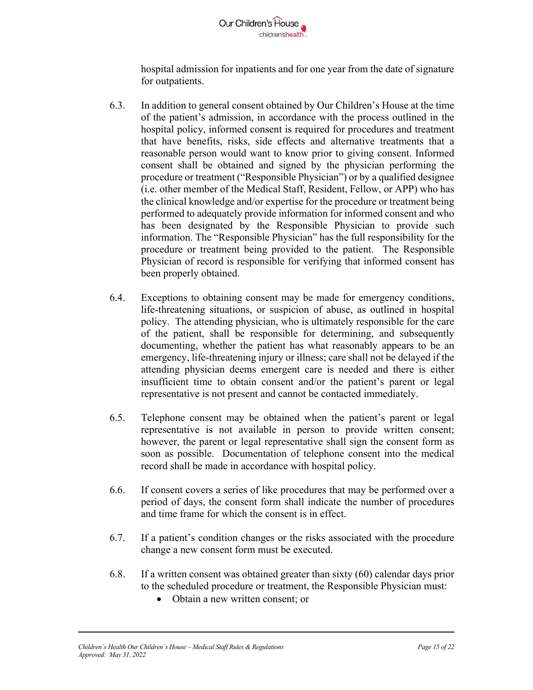

hospital admission for inpatients and for one year from the date of signature for outpatients.

- 6.3. In addition to general consent obtained by Our Children's House at the time of the patient's admission, in accordance with the process outlined in the hospital policy, informed consent is required for procedures and treatment that have benefits, risks, side effects and alternative treatments that a reasonable person would want to know prior to giving consent. Informed consent shall be obtained and signed by the physician performing the procedure or treatment ("Responsible Physician") or by a qualified designee (i.e. other member of the Medical Staff, Resident, Fellow, or APP) who has the clinical knowledge and/or expertise for the procedure or treatment being performed to adequately provide information for informed consent and who has been designated by the Responsible Physician to provide such information. The "Responsible Physician" has the full responsibility for the procedure or treatment being provided to the patient. The Responsible Physician of record is responsible for verifying that informed consent has been properly obtained.
- 6.4. Exceptions to obtaining consent may be made for emergency conditions, life-threatening situations, or suspicion of abuse, as outlined in hospital policy. The attending physician, who is ultimately responsible for the care of the patient, shall be responsible for determining, and subsequently documenting, whether the patient has what reasonably appears to be an emergency, life-threatening injury or illness; care shall not be delayed if the attending physician deems emergent care is needed and there is either insufficient time to obtain consent and/or the patient's parent or legal representative is not present and cannot be contacted immediately.
- 6.5. Telephone consent may be obtained when the patient's parent or legal representative is not available in person to provide written consent; however, the parent or legal representative shall sign the consent form as soon as possible. Documentation of telephone consent into the medical record shall be made in accordance with hospital policy.
- 6.6. If consent covers a series of like procedures that may be performed over a period of days, the consent form shall indicate the number of procedures and time frame for which the consent is in effect.
- 6.7. If a patient's condition changes or the risks associated with the procedure change a new consent form must be executed.
- 6.8. If a written consent was obtained greater than sixty (60) calendar days prior to the scheduled procedure or treatment, the Responsible Physician must:
	- Obtain a new written consent; or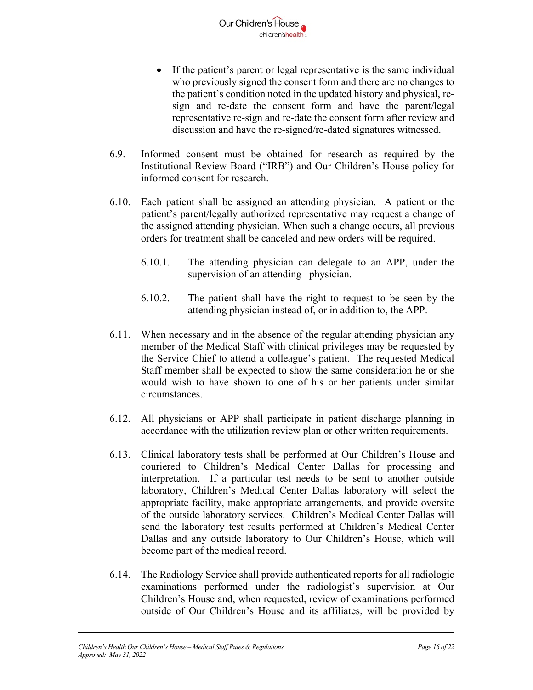

- If the patient's parent or legal representative is the same individual who previously signed the consent form and there are no changes to the patient's condition noted in the updated history and physical, resign and re-date the consent form and have the parent/legal representative re-sign and re-date the consent form after review and discussion and have the re-signed/re-dated signatures witnessed.
- 6.9. Informed consent must be obtained for research as required by the Institutional Review Board ("IRB") and Our Children's House policy for informed consent for research.
- 6.10. Each patient shall be assigned an attending physician. A patient or the patient's parent/legally authorized representative may request a change of the assigned attending physician. When such a change occurs, all previous orders for treatment shall be canceled and new orders will be required.
	- 6.10.1. The attending physician can delegate to an APP, under the supervision of an attending physician.
	- 6.10.2. The patient shall have the right to request to be seen by the attending physician instead of, or in addition to, the APP.
- 6.11. When necessary and in the absence of the regular attending physician any member of the Medical Staff with clinical privileges may be requested by the Service Chief to attend a colleague's patient. The requested Medical Staff member shall be expected to show the same consideration he or she would wish to have shown to one of his or her patients under similar circumstances.
- 6.12. All physicians or APP shall participate in patient discharge planning in accordance with the utilization review plan or other written requirements.
- 6.13. Clinical laboratory tests shall be performed at Our Children's House and couriered to Children's Medical Center Dallas for processing and interpretation. If a particular test needs to be sent to another outside laboratory, Children's Medical Center Dallas laboratory will select the appropriate facility, make appropriate arrangements, and provide oversite of the outside laboratory services. Children's Medical Center Dallas will send the laboratory test results performed at Children's Medical Center Dallas and any outside laboratory to Our Children's House, which will become part of the medical record.
- 6.14. The Radiology Service shall provide authenticated reports for all radiologic examinations performed under the radiologist's supervision at Our Children's House and, when requested, review of examinations performed outside of Our Children's House and its affiliates, will be provided by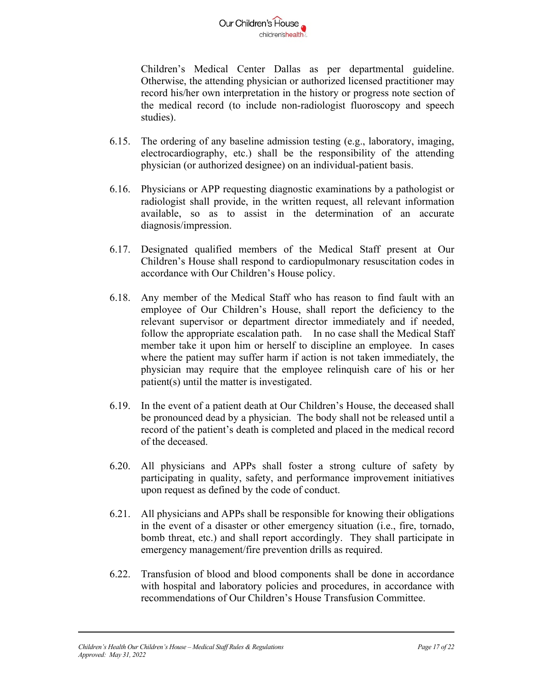

Children's Medical Center Dallas as per departmental guideline. Otherwise, the attending physician or authorized licensed practitioner may record his/her own interpretation in the history or progress note section of the medical record (to include non-radiologist fluoroscopy and speech studies).

- 6.15. The ordering of any baseline admission testing (e.g., laboratory, imaging, electrocardiography, etc.) shall be the responsibility of the attending physician (or authorized designee) on an individual-patient basis.
- 6.16. Physicians or APP requesting diagnostic examinations by a pathologist or radiologist shall provide, in the written request, all relevant information available, so as to assist in the determination of an accurate diagnosis/impression.
- 6.17. Designated qualified members of the Medical Staff present at Our Children's House shall respond to cardiopulmonary resuscitation codes in accordance with Our Children's House policy.
- 6.18. Any member of the Medical Staff who has reason to find fault with an employee of Our Children's House, shall report the deficiency to the relevant supervisor or department director immediately and if needed, follow the appropriate escalation path. In no case shall the Medical Staff member take it upon him or herself to discipline an employee. In cases where the patient may suffer harm if action is not taken immediately, the physician may require that the employee relinquish care of his or her patient(s) until the matter is investigated.
- 6.19. In the event of a patient death at Our Children's House, the deceased shall be pronounced dead by a physician. The body shall not be released until a record of the patient's death is completed and placed in the medical record of the deceased.
- 6.20. All physicians and APPs shall foster a strong culture of safety by participating in quality, safety, and performance improvement initiatives upon request as defined by the code of conduct.
- 6.21. All physicians and APPs shall be responsible for knowing their obligations in the event of a disaster or other emergency situation (i.e., fire, tornado, bomb threat, etc.) and shall report accordingly. They shall participate in emergency management/fire prevention drills as required.
- 6.22. Transfusion of blood and blood components shall be done in accordance with hospital and laboratory policies and procedures, in accordance with recommendations of Our Children's House Transfusion Committee.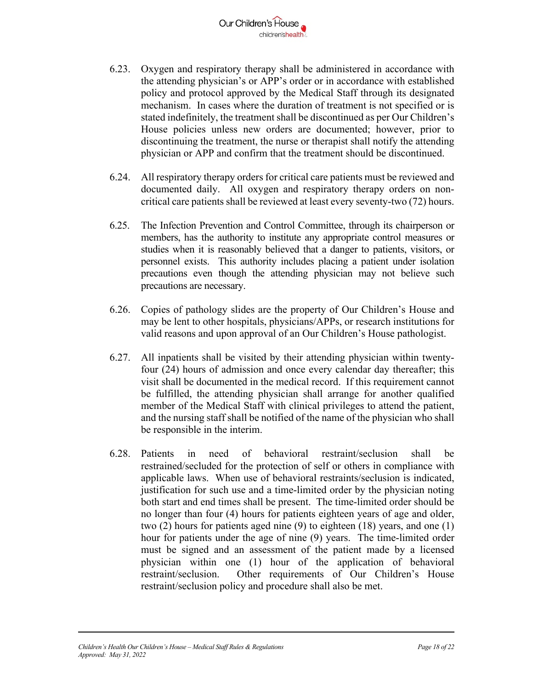

- 6.23. Oxygen and respiratory therapy shall be administered in accordance with the attending physician's or APP's order or in accordance with established policy and protocol approved by the Medical Staff through its designated mechanism. In cases where the duration of treatment is not specified or is stated indefinitely, the treatment shall be discontinued as per Our Children's House policies unless new orders are documented; however, prior to discontinuing the treatment, the nurse or therapist shall notify the attending physician or APP and confirm that the treatment should be discontinued.
- 6.24. All respiratory therapy orders for critical care patients must be reviewed and documented daily. All oxygen and respiratory therapy orders on noncritical care patients shall be reviewed at least every seventy-two (72) hours.
- 6.25. The Infection Prevention and Control Committee, through its chairperson or members, has the authority to institute any appropriate control measures or studies when it is reasonably believed that a danger to patients, visitors, or personnel exists. This authority includes placing a patient under isolation precautions even though the attending physician may not believe such precautions are necessary.
- 6.26. Copies of pathology slides are the property of Our Children's House and may be lent to other hospitals, physicians/APPs, or research institutions for valid reasons and upon approval of an Our Children's House pathologist.
- 6.27. All inpatients shall be visited by their attending physician within twentyfour (24) hours of admission and once every calendar day thereafter; this visit shall be documented in the medical record. If this requirement cannot be fulfilled, the attending physician shall arrange for another qualified member of the Medical Staff with clinical privileges to attend the patient, and the nursing staff shall be notified of the name of the physician who shall be responsible in the interim.
- 6.28. Patients in need of behavioral restraint/seclusion shall be restrained/secluded for the protection of self or others in compliance with applicable laws. When use of behavioral restraints/seclusion is indicated, justification for such use and a time-limited order by the physician noting both start and end times shall be present. The time-limited order should be no longer than four (4) hours for patients eighteen years of age and older, two (2) hours for patients aged nine (9) to eighteen (18) years, and one (1) hour for patients under the age of nine (9) years. The time-limited order must be signed and an assessment of the patient made by a licensed physician within one (1) hour of the application of behavioral restraint/seclusion. Other requirements of Our Children's House restraint/seclusion policy and procedure shall also be met.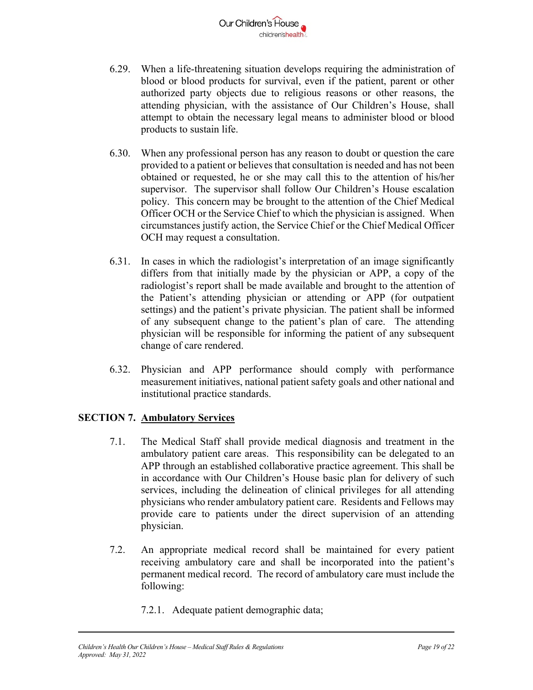

- 6.29. When a life-threatening situation develops requiring the administration of blood or blood products for survival, even if the patient, parent or other authorized party objects due to religious reasons or other reasons, the attending physician, with the assistance of Our Children's House, shall attempt to obtain the necessary legal means to administer blood or blood products to sustain life.
- 6.30. When any professional person has any reason to doubt or question the care provided to a patient or believes that consultation is needed and has not been obtained or requested, he or she may call this to the attention of his/her supervisor. The supervisor shall follow Our Children's House escalation policy. This concern may be brought to the attention of the Chief Medical Officer OCH or the Service Chief to which the physician is assigned. When circumstances justify action, the Service Chief or the Chief Medical Officer OCH may request a consultation.
- 6.31. In cases in which the radiologist's interpretation of an image significantly differs from that initially made by the physician or APP, a copy of the radiologist's report shall be made available and brought to the attention of the Patient's attending physician or attending or APP (for outpatient settings) and the patient's private physician. The patient shall be informed of any subsequent change to the patient's plan of care. The attending physician will be responsible for informing the patient of any subsequent change of care rendered.
- 6.32. Physician and APP performance should comply with performance measurement initiatives, national patient safety goals and other national and institutional practice standards.

## **SECTION 7. Ambulatory Services**

- 7.1. The Medical Staff shall provide medical diagnosis and treatment in the ambulatory patient care areas. This responsibility can be delegated to an APP through an established collaborative practice agreement. This shall be in accordance with Our Children's House basic plan for delivery of such services, including the delineation of clinical privileges for all attending physicians who render ambulatory patient care. Residents and Fellows may provide care to patients under the direct supervision of an attending physician.
- 7.2. An appropriate medical record shall be maintained for every patient receiving ambulatory care and shall be incorporated into the patient's permanent medical record. The record of ambulatory care must include the following:
	- 7.2.1. Adequate patient demographic data;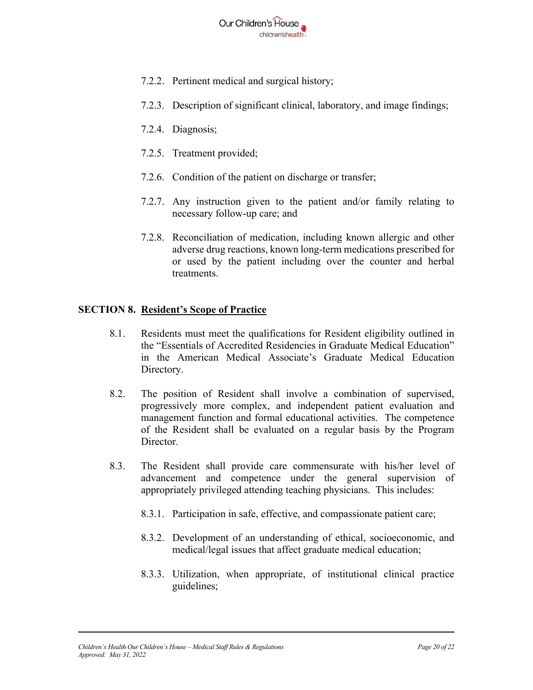

- 7.2.2. Pertinent medical and surgical history;
- 7.2.3. Description of significant clinical, laboratory, and image findings;
- 7.2.4. Diagnosis;
- 7.2.5. Treatment provided;
- 7.2.6. Condition of the patient on discharge or transfer;
- 7.2.7. Any instruction given to the patient and/or family relating to necessary follow-up care; and
- 7.2.8. Reconciliation of medication, including known allergic and other adverse drug reactions, known long-term medications prescribed for or used by the patient including over the counter and herbal treatments.

#### **SECTION 8. Resident's Scope of Practice**

- 8.1. Residents must meet the qualifications for Resident eligibility outlined in the "Essentials of Accredited Residencies in Graduate Medical Education" in the American Medical Associate's Graduate Medical Education Directory.
- 8.2. The position of Resident shall involve a combination of supervised, progressively more complex, and independent patient evaluation and management function and formal educational activities. The competence of the Resident shall be evaluated on a regular basis by the Program Director.
- 8.3. The Resident shall provide care commensurate with his/her level of advancement and competence under the general supervision of appropriately privileged attending teaching physicians. This includes:
	- 8.3.1. Participation in safe, effective, and compassionate patient care;
	- 8.3.2. Development of an understanding of ethical, socioeconomic, and medical/legal issues that affect graduate medical education;
	- 8.3.3. Utilization, when appropriate, of institutional clinical practice guidelines;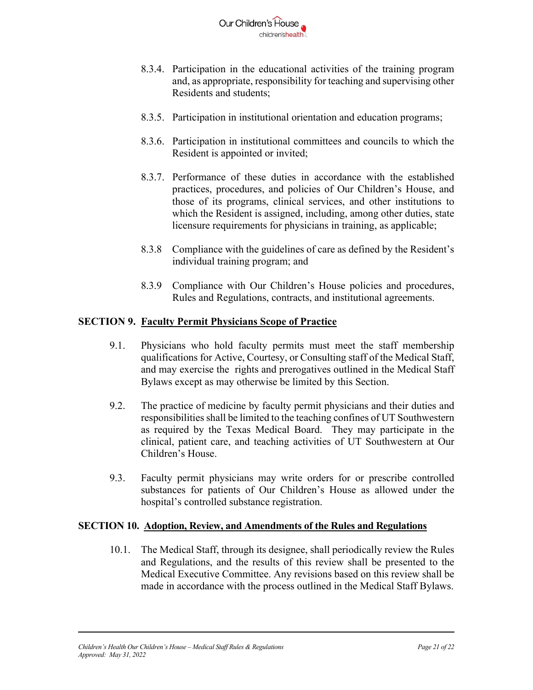

- 8.3.4. Participation in the educational activities of the training program and, as appropriate, responsibility for teaching and supervising other Residents and students;
- 8.3.5. Participation in institutional orientation and education programs;
- 8.3.6. Participation in institutional committees and councils to which the Resident is appointed or invited;
- 8.3.7. Performance of these duties in accordance with the established practices, procedures, and policies of Our Children's House, and those of its programs, clinical services, and other institutions to which the Resident is assigned, including, among other duties, state licensure requirements for physicians in training, as applicable;
- 8.3.8 Compliance with the guidelines of care as defined by the Resident's individual training program; and
- 8.3.9 Compliance with Our Children's House policies and procedures, Rules and Regulations, contracts, and institutional agreements.

#### **SECTION 9. Faculty Permit Physicians Scope of Practice**

- 9.1. Physicians who hold faculty permits must meet the staff membership qualifications for Active, Courtesy, or Consulting staff of the Medical Staff, and may exercise the rights and prerogatives outlined in the Medical Staff Bylaws except as may otherwise be limited by this Section.
- 9.2. The practice of medicine by faculty permit physicians and their duties and responsibilities shall be limited to the teaching confines of UT Southwestern as required by the Texas Medical Board. They may participate in the clinical, patient care, and teaching activities of UT Southwestern at Our Children's House.
- 9.3. Faculty permit physicians may write orders for or prescribe controlled substances for patients of Our Children's House as allowed under the hospital's controlled substance registration.

#### **SECTION 10. Adoption, Review, and Amendments of the Rules and Regulations**

10.1. The Medical Staff, through its designee, shall periodically review the Rules and Regulations, and the results of this review shall be presented to the Medical Executive Committee. Any revisions based on this review shall be made in accordance with the process outlined in the Medical Staff Bylaws.